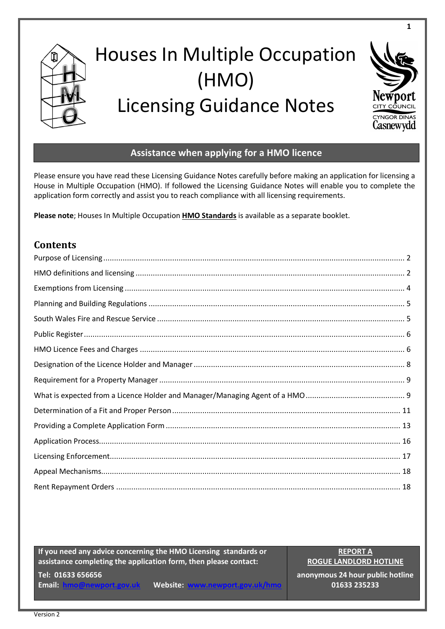

# Houses In Multiple Occupation (HMO) Licensing Guidance Notes



**1**

## **Assistance when applying for a HMO licence**

Please ensure you have read these Licensing Guidance Notes carefully before making an application for licensing a House in Multiple Occupation (HMO). If followed the Licensing Guidance Notes will enable you to complete the application form correctly and assist you to reach compliance with all licensing requirements.

**Please note**; Houses In Multiple Occupation **[HMO Standards](http://www.newport.gov.uk/documents/Housing-documents/HMO/HMO-standards-version-2.pdf)** is available as a separate booklet.

## **Contents**

**If you need any advice concerning the HMO Licensing standards or assistance completing the application form, then please contact:**

**Tel: 01633 656656 Email: [hmo@newport.gov.uk](mailto:hmo@newport.gov.uk) Website: [www.newport.gov.uk/hmo](http://www.newport.gov.uk/hmo)**

**REPORT A ROGUE LANDLORD HOTLINE**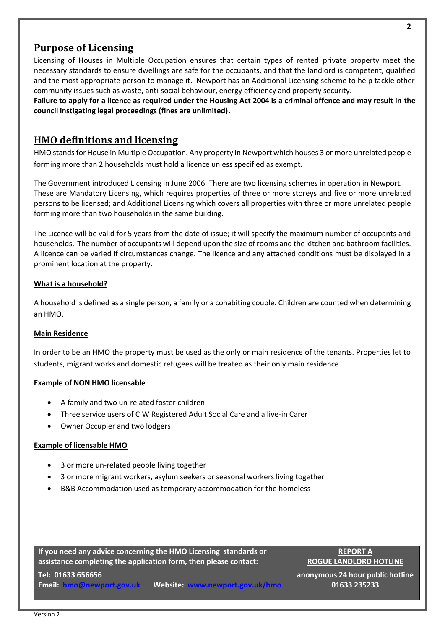## <span id="page-1-0"></span>**Purpose of Licensing**

Licensing of Houses in Multiple Occupation ensures that certain types of rented private property meet the necessary standards to ensure dwellings are safe for the occupants, and that the landlord is competent, qualified and the most appropriate person to manage it. Newport has an Additional Licensing scheme to help tackle other community issues such as waste, anti-social behaviour, energy efficiency and property security.

<span id="page-1-1"></span>**Failure to apply for a licence as required under the Housing Act 2004 is a criminal offence and may result in the council instigating legal proceedings (fines are unlimited).**

## **HMO definitions and licensing**

HMO stands for House in Multiple Occupation. Any property in Newport which houses 3 or more unrelated people forming more than 2 households must hold a licence unless specified as exempt.

The Government introduced Licensing in June 2006. There are two licensing schemes in operation in Newport. These are Mandatory Licensing, which requires properties of three or more storeys and five or more unrelated persons to be licensed; and Additional Licensing which covers all properties with three or more unrelated people forming more than two households in the same building.

The Licence will be valid for 5 years from the date of issue; it will specify the maximum number of occupants and households. The number of occupants will depend upon the size of rooms and the kitchen and bathroom facilities. A licence can be varied if circumstances change. The licence and any attached conditions must be displayed in a prominent location at the property.

#### **What is a household?**

A household is defined as a single person, a family or a cohabiting couple. Children are counted when determining an HMO.

#### **Main Residence**

In order to be an HMO the property must be used as the only or main residence of the tenants. Properties let to students, migrant works and domestic refugees will be treated as their only main residence.

#### **Example of NON HMO licensable**

- A family and two un-related foster children
- Three service users of CIW Registered Adult Social Care and a live-in Carer
- Owner Occupier and two lodgers

#### **Example of licensable HMO**

- 3 or more un-related people living together
- 3 or more migrant workers, asylum seekers or seasonal workers living together
- B&B Accommodation used as temporary accommodation for the homeless

**If you need any advice concerning the HMO Licensing standards or assistance completing the application form, then please contact:**

**REPORT A ROGUE LANDLORD HOTLINE**

**anonymous 24 hour public hotline 01633 235233**

**Tel: 01633 656656**

**Email: [hmo@newport.gov.uk](mailto:hmo@newport.gov.uk)** Website: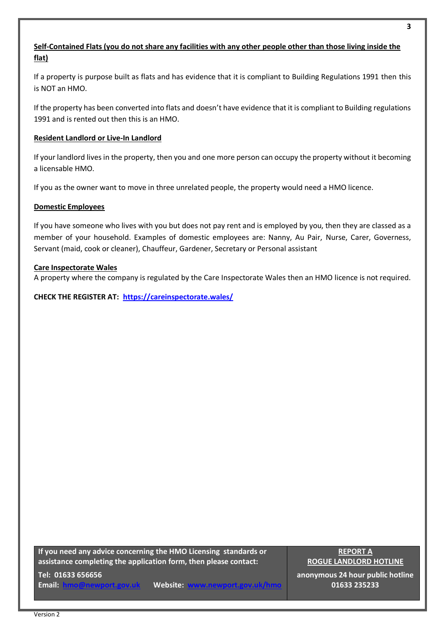#### **Self-Contained Flats (you do not share any facilities with any other people other than those living inside the flat)**

If a property is purpose built as flats and has evidence that it is compliant to Building Regulations 1991 then this is NOT an HMO.

If the property has been converted into flats and doesn't have evidence that it is compliant to Building regulations 1991 and is rented out then this is an HMO.

#### **Resident Landlord or Live-In Landlord**

If your landlord lives in the property, then you and one more person can occupy the property without it becoming a licensable HMO.

If you as the owner want to move in three unrelated people, the property would need a HMO licence.

#### **Domestic Employees**

If you have someone who lives with you but does not pay rent and is employed by you, then they are classed as a member of your household. Examples of domestic employees are: Nanny, Au Pair, Nurse, Carer, Governess, Servant (maid, cook or cleaner), Chauffeur, Gardener, Secretary or Personal assistant

#### **Care Inspectorate Wales**

A property where the company is regulated by the Care Inspectorate Wales then an HMO licence is not required.

**CHECK THE REGISTER AT: <https://careinspectorate.wales/>**

**If you need any advice concerning the HMO Licensing standards or assistance completing the application form, then please contact:**

**Tel: 01633 656656**

**Email: [hmo@newport.gov.uk](mailto:hmo@newport.gov.uk)** Website:

**REPORT A ROGUE LANDLORD HOTLINE**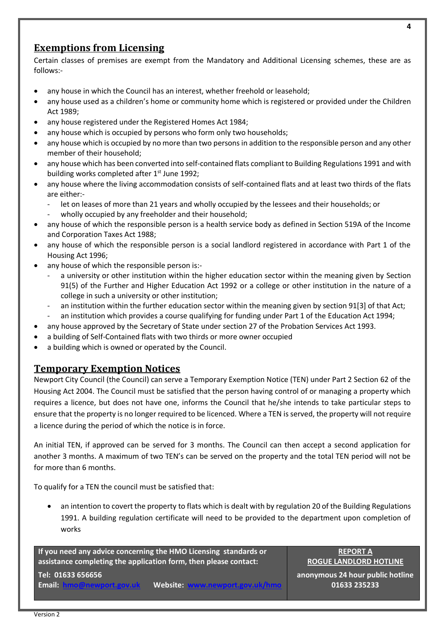## <span id="page-3-0"></span>**Exemptions from Licensing**

Certain classes of premises are exempt from the Mandatory and Additional Licensing schemes, these are as follows:-

- any house in which the Council has an interest, whether freehold or leasehold;
- any house used as a children's home or community home which is registered or provided under the Children Act 1989;
- any house registered under the Registered Homes Act 1984;
- any house which is occupied by persons who form only two households;
- any house which is occupied by no more than two persons in addition to the responsible person and any other member of their household;
- any house which has been converted into self-contained flats compliant to Building Regulations 1991 and with building works completed after  $1<sup>st</sup>$  June 1992;
- any house where the living accommodation consists of self-contained flats and at least two thirds of the flats are either:
	- let on leases of more than 21 years and wholly occupied by the lessees and their households; or
	- wholly occupied by any freeholder and their household;
- any house of which the responsible person is a health service body as defined in Section 519A of the Income and Corporation Taxes Act 1988;
- any house of which the responsible person is a social landlord registered in accordance with Part 1 of the Housing Act 1996;
- any house of which the responsible person is:
	- a university or other institution within the higher education sector within the meaning given by Section 91(5) of the Further and Higher Education Act 1992 or a college or other institution in the nature of a college in such a university or other institution;
	- an institution within the further education sector within the meaning given by section 91[3] of that Act;
	- an institution which provides a course qualifying for funding under Part 1 of the Education Act 1994;
- any house approved by the Secretary of State under section 27 of the Probation Services Act 1993.
- a building of Self-Contained flats with two thirds or more owner occupied
- a building which is owned or operated by the Council.

## **Temporary Exemption Notices**

Newport City Council (the Council) can serve a Temporary Exemption Notice (TEN) under Part 2 Section 62 of the Housing Act 2004. The Council must be satisfied that the person having control of or managing a property which requires a licence, but does not have one, informs the Council that he/she intends to take particular steps to ensure that the property is no longer required to be licenced. Where a TEN is served, the property will not require a licence during the period of which the notice is in force.

An initial TEN, if approved can be served for 3 months. The Council can then accept a second application for another 3 months. A maximum of two TEN's can be served on the property and the total TEN period will not be for more than 6 months.

To qualify for a TEN the council must be satisfied that:

• an intention to covert the property to flats which is dealt with by regulation 20 of the Building Regulations 1991. A building regulation certificate will need to be provided to the department upon completion of works

**If you need any advice concerning the HMO Licensing standards or assistance completing the application form, then please contact:**

**REPORT A ROGUE LANDLORD HOTLINE**

## **Tel: 01633 656656**

**Email: <b>[hmo@newport.gov.uk](mailto:hmo@newport.gov.uk)** Website:

**anonymous 24 hour public hotline 01633 235233**

**4**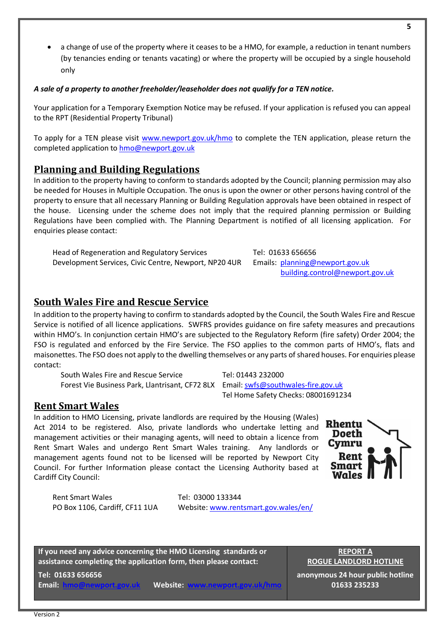• a change of use of the property where it ceases to be a HMO, for example, a reduction in tenant numbers (by tenancies ending or tenants vacating) or where the property will be occupied by a single household only

## *A sale of a property to another freeholder/leaseholder does not qualify for a TEN notice.*

Your application for a Temporary Exemption Notice may be refused. If your application is refused you can appeal to the RPT (Residential Property Tribunal)

To apply for a TEN please visit [www.newport.gov.uk/hmo](http://www.newport.gov.uk/hmo) to complete the TEN application, please return the completed application to [hmo@newport.gov.uk](mailto:hmo@newport.gov.uk)

## <span id="page-4-0"></span>**Planning and Building Regulations**

In addition to the property having to conform to standards adopted by the Council; planning permission may also be needed for Houses in Multiple Occupation. The onus is upon the owner or other persons having control of the property to ensure that all necessary Planning or Building Regulation approvals have been obtained in respect of the house. Licensing under the scheme does not imply that the required planning permission or Building Regulations have been complied with. The Planning Department is notified of all licensing application. For enquiries please contact:

Tel: 01633 656656

Tel Home Safety Checks: 08001691234

Emails: [planning@newport.gov.uk](mailto:planning@newport.gov.uk)

[building.control@newport.gov.uk](mailto:building.control@newport.gov.uk)

Head of Regeneration and Regulatory Services Development Services, Civic Centre, Newport, NP20 4UR

## <span id="page-4-1"></span>**South Wales Fire and Rescue Service**

In addition to the property having to confirm to standards adopted by the Council, the South Wales Fire and Rescue Service is notified of all licence applications. SWFRS provides guidance on fire safety measures and precautions within HMO's. In conjunction certain HMO's are subjected to the Regulatory Reform (fire safety) Order 2004; the FSO is regulated and enforced by the Fire Service. The FSO applies to the common parts of HMO's, flats and maisonettes. The FSO does not apply to the dwelling themselves or any parts of shared houses. For enquiries please contact:

South Wales Fire and Rescue Service Tel: 01443 232000 Forest Vie Business Park, Llantrisant, CF72 8LX Email[: swfs@southwales-fire.gov.uk](mailto:swfs@southwales-fire.gov.uk)

**Rent Smart Wales**

In addition to HMO Licensing, private landlords are required by the Housing (Wales) Act 2014 to be registered. Also, private landlords who undertake letting and management activities or their managing agents, will need to obtain a licence from Rent Smart Wales and undergo Rent Smart Wales training. Any landlords or management agents found not to be licensed will be reported by Newport City Council. For further Information please contact the Licensing Authority based at Cardiff City Council:

Rent Smart Wales PO Box 1106, Cardiff, CF11 1UA

Tel: 03000 133344 Website: [www.rentsmart.gov.wales/en/](http://www.rentsmart.gov.wales/en/)

**If you need any advice concerning the HMO Licensing standards or assistance completing the application form, then please contact:**

**Tel: 01633 656656**

**Email: [hmo@newport.gov.uk](mailto:hmo@newport.gov.uk)** Website:

**REPORT A ROGUE LANDLORD HOTLINE**

**anonymous 24 hour public hotline 01633 235233**

**Rhentu Doeth** Cymru Rent Smart Wales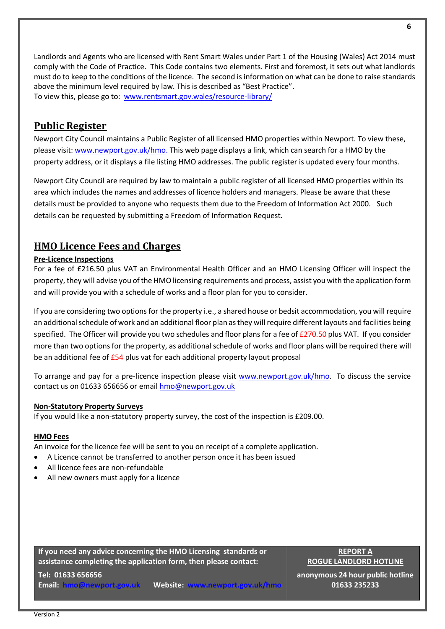Landlords and Agents who are licensed with Rent Smart Wales under Part 1 of the Housing (Wales) Act 2014 must comply with the Code of Practice. This Code contains two elements. First and foremost, it sets out what landlords must do to keep to the conditions of the licence. The second is information on what can be done to raise standards above the minimum level required by law. This is described as "Best Practice". To view this, please go to: [www.rentsmart.gov.wales/resource-library/](http://www.rentsmart.gov.wales/resource-library/)

## <span id="page-5-0"></span>**Public Register**

<span id="page-5-1"></span>Newport City Council maintains a Public Register of all licensed HMO properties within Newport. To view these, please visit: [www.newport.gov.uk/hmo.](https://eur03.safelinks.protection.outlook.com/?url=http%3A%2F%2Fwww.newport.gov.uk%2Fhmo&data=04%7C01%7CLauren.Phillips%40newport.gov.uk%7C3524e00cb43146f5bedf08d97f4e933a%7C2c4d0079c52c4bb3b3cad8eaf1b6b7d5%7C0%7C0%7C637680797711272432%7CUnknown%7CTWFpbGZsb3d8eyJWIjoiMC4wLjAwMDAiLCJQIjoiV2luMzIiLCJBTiI6Ik1haWwiLCJXVCI6Mn0%3D%7C1000&sdata=A1CkSl8Uyg1l397PrTed4uWSZrSYixQK0jswQjjlYfE%3D&reserved=0) This web page displays a link, which can search for a HMO by the property address, or it displays a file listing HMO addresses. The public register is updated every four months.

Newport City Council are required by law to maintain a public register of all licensed HMO properties within its area which includes the names and addresses of licence holders and managers. Please be aware that these details must be provided to anyone who requests them due to the Freedom of Information Act 2000. Such details can be requested by submitting a Freedom of Information Request.

## **HMO Licence Fees and Charges**

#### **Pre-Licence Inspections**

For a fee of £216.50 plus VAT an Environmental Health Officer and an HMO Licensing Officer will inspect the property, they will advise you of the HMO licensing requirements and process, assist you with the application form and will provide you with a schedule of works and a floor plan for you to consider.

If you are considering two options for the property i.e., a shared house or bedsit accommodation, you will require an additional schedule of work and an additional floor plan as they will require different layouts and facilities being specified. The Officer will provide you two schedules and floor plans for a fee of £270.50 plus VAT. If you consider more than two options for the property, as additional schedule of works and floor plans will be required there will be an additional fee of £54 plus vat for each additional property layout proposal

To arrange and pay for a pre-licence inspection please visit [www.newport.gov.uk/hmo.](http://www.newport.gov.uk/hmo) To discuss the service contact us on 01633 656656 or emai[l hmo@newport.gov.uk](mailto:hmo@newport.gov.uk)

#### **Non-Statutory Property Surveys**

If you would like a non-statutory property survey, the cost of the inspection is £209.00.

#### **HMO Fees**

An invoice for the licence fee will be sent to you on receipt of a complete application.

- A Licence cannot be transferred to another person once it has been issued
- All licence fees are non-refundable
- All new owners must apply for a licence

**If you need any advice concerning the HMO Licensing standards or assistance completing the application form, then please contact:**

**REPORT A ROGUE LANDLORD HOTLINE**

**Tel: 01633 656656**

**Email: [hmo@newport.gov.uk](mailto:hmo@newport.gov.uk)** Website: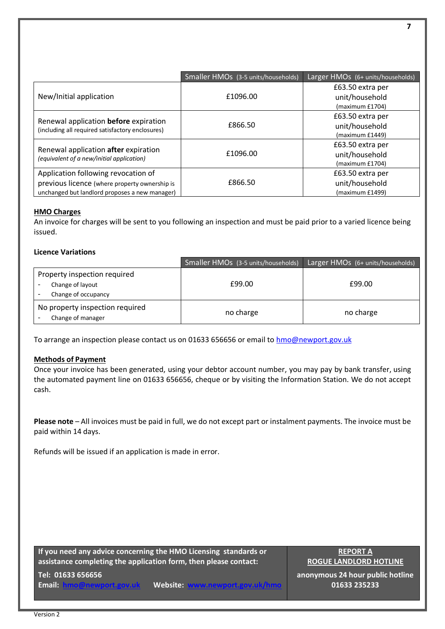|                                                                                           | Smaller HMOs (3-5 units/households) | Larger HMOs (6+ units/households) |
|-------------------------------------------------------------------------------------------|-------------------------------------|-----------------------------------|
|                                                                                           |                                     | £63.50 extra per                  |
| New/Initial application                                                                   | £1096.00                            | unit/household                    |
|                                                                                           |                                     | (maximum £1704)                   |
|                                                                                           |                                     | £63.50 extra per                  |
| Renewal application before expiration<br>(including all required satisfactory enclosures) | £866.50                             | unit/household                    |
|                                                                                           |                                     | (maximum £1449)                   |
|                                                                                           |                                     | £63.50 extra per                  |
| Renewal application after expiration<br>(equivalent of a new/initial application)         | £1096.00                            | unit/household                    |
|                                                                                           |                                     | (maximum £1704)                   |
| Application following revocation of                                                       |                                     | £63.50 extra per                  |
| previous licence (where property ownership is                                             | £866.50                             | unit/household                    |
| unchanged but landlord proposes a new manager)                                            |                                     | (maximum £1499)                   |

#### **HMO Charges**

An invoice for charges will be sent to you following an inspection and must be paid prior to a varied licence being issued.

#### **Licence Variations**

|                                                                         | Smaller HMOs (3-5 units/households) | Larger HMOs (6+ units/households) |
|-------------------------------------------------------------------------|-------------------------------------|-----------------------------------|
| Property inspection required<br>Change of layout<br>Change of occupancy | £99.00                              | £99.00                            |
| No property inspection required<br>Change of manager                    | no charge                           | no charge                         |

To arrange an inspection please contact us on 01633 656656 or email to [hmo@newport.gov.uk](mailto:hmo@newport.gov.uk)

#### **Methods of Payment**

Once your invoice has been generated, using your debtor account number, you may pay by bank transfer, using the automated payment line on 01633 656656, cheque or by visiting the Information Station. We do not accept cash.

**Please note** – All invoices must be paid in full, we do not except part or instalment payments. The invoice must be paid within 14 days.

Refunds will be issued if an application is made in error.

**If you need any advice concerning the HMO Licensing standards or assistance completing the application form, then please contact:**

**REPORT A ROGUE LANDLORD HOTLINE**

**Tel: 01633 656656**

**Email: [hmo@newport.gov.uk](mailto:hmo@newport.gov.uk) Website: [www.newport.gov.uk/hmo](http://www.newport.gov.uk/hmo)**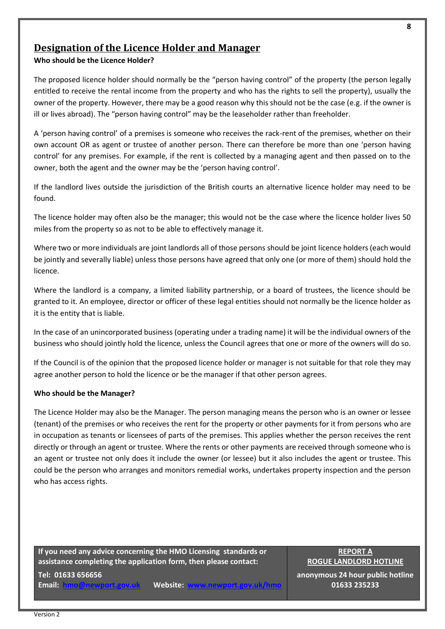Version 2

## <span id="page-7-0"></span>**Designation of the Licence Holder and Manager**

#### **Who should be the Licence Holder?**

The proposed licence holder should normally be the "person having control" of the property (the person legally entitled to receive the rental income from the property and who has the rights to sell the property), usually the owner of the property. However, there may be a good reason why this should not be the case (e.g. if the owner is ill or lives abroad). The "person having control" may be the leaseholder rather than freeholder.

A 'person having control' of a premises is someone who receives the rack-rent of the premises, whether on their own account OR as agent or trustee of another person. There can therefore be more than one 'person having control' for any premises. For example, if the rent is collected by a managing agent and then passed on to the owner, both the agent and the owner may be the 'person having control'.

If the landlord lives outside the jurisdiction of the British courts an alternative licence holder may need to be found.

The licence holder may often also be the manager; this would not be the case where the licence holder lives 50 miles from the property so as not to be able to effectively manage it.

Where two or more individuals are joint landlords all of those persons should be joint licence holders (each would be jointly and severally liable) unless those persons have agreed that only one (or more of them) should hold the licence.

Where the landlord is a company, a limited liability partnership, or a board of trustees, the licence should be granted to it. An employee, director or officer of these legal entities should not normally be the licence holder as it is the entity that is liable.

In the case of an unincorporated business (operating under a trading name) it will be the individual owners of the business who should jointly hold the licence, unless the Council agrees that one or more of the owners will do so.

If the Council is of the opinion that the proposed licence holder or manager is not suitable for that role they may agree another person to hold the licence or be the manager if that other person agrees.

#### **Who should be the Manager?**

The Licence Holder may also be the Manager. The person managing means the person who is an owner or lessee (tenant) of the premises or who receives the rent for the property or other payments for it from persons who are in occupation as tenants or licensees of parts of the premises. This applies whether the person receives the rent directly or through an agent or trustee. Where the rents or other payments are received through someone who is an agent or trustee not only does it include the owner (or lessee) but it also includes the agent or trustee. This could be the person who arranges and monitors remedial works, undertakes property inspection and the person who has access rights.

**If you need any advice concerning the HMO Licensing standards or assistance completing the application form, then please contact:**

**Tel: 01633 656656 Email: [hmo@newport.gov.uk](mailto:hmo@newport.gov.uk)** Website:

**REPORT A ROGUE LANDLORD HOTLINE**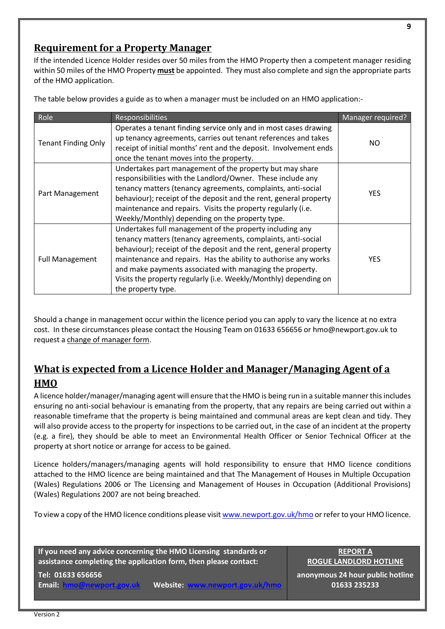## <span id="page-8-0"></span>**Requirement for a Property Manager**

If the intended Licence Holder resides over 50 miles from the HMO Property then a competent manager residing within 50 miles of the HMO Property **must** be appointed. They must also complete and sign the appropriate parts of the HMO application.

The table below provides a guide as to when a manager must be included on an HMO application:-

| Role                       | <b>Responsibilities</b>                                                                                                                                                                                                                                                                                                                                                                                                | Manager required? |
|----------------------------|------------------------------------------------------------------------------------------------------------------------------------------------------------------------------------------------------------------------------------------------------------------------------------------------------------------------------------------------------------------------------------------------------------------------|-------------------|
| <b>Tenant Finding Only</b> | Operates a tenant finding service only and in most cases drawing<br>up tenancy agreements, carries out tenant references and takes<br>receipt of initial months' rent and the deposit. Involvement ends<br>once the tenant moves into the property.                                                                                                                                                                    | NO.               |
| Part Management            | Undertakes part management of the property but may share<br>responsibilities with the Landlord/Owner. These include any<br>tenancy matters (tenancy agreements, complaints, anti-social<br>behaviour); receipt of the deposit and the rent, general property<br>maintenance and repairs. Visits the property regularly (i.e.<br>Weekly/Monthly) depending on the property type.                                        | <b>YES</b>        |
| <b>Full Management</b>     | Undertakes full management of the property including any<br>tenancy matters (tenancy agreements, complaints, anti-social<br>behaviour); receipt of the deposit and the rent, general property<br>maintenance and repairs. Has the ability to authorise any works<br>and make payments associated with managing the property.<br>Visits the property regularly (i.e. Weekly/Monthly) depending on<br>the property type. | <b>YES</b>        |

Should a change in management occur within the licence period you can apply to vary the licence at no extra cost. In these circumstances please contact the Housing Team on 01633 656656 or hmo@newport.gov.uk to request a [change of manager form.](http://www.newport.gov.uk/documents/Housing-documents/HMO/HMO-Manager-Variation-form-October-2018.pdf)

## <span id="page-8-1"></span>**What is expected from a Licence Holder and Manager/Managing Agent of a HMO**

A licence holder/manager/managing agent will ensure that the HMO is being run in a suitable manner this includes ensuring no anti-social behaviour is emanating from the property, that any repairs are being carried out within a reasonable timeframe that the property is being maintained and communal areas are kept clean and tidy. They will also provide access to the property for inspections to be carried out, in the case of an incident at the property (e.g. a fire), they should be able to meet an Environmental Health Officer or Senior Technical Officer at the property at short notice or arrange for access to be gained.

Licence holders/managers/managing agents will hold responsibility to ensure that HMO licence conditions attached to the HMO licence are being maintained and that The Management of Houses in Multiple Occupation (Wales) Regulations 2006 or The Licensing and Management of Houses in Occupation (Additional Provisions) (Wales) Regulations 2007 are not being breached.

To view a copy of the HMO licence conditions please visi[t www.newport.gov.uk/hmo](http://www.newport.gov.uk/hmo) or refer to your HMO licence.

**If you need any advice concerning the HMO Licensing standards or assistance completing the application form, then please contact:**

**REPORT A ROGUE LANDLORD HOTLINE**

**Tel: 01633 656656 Email: [hmo@newport.gov.uk](mailto:hmo@newport.gov.uk)** Website: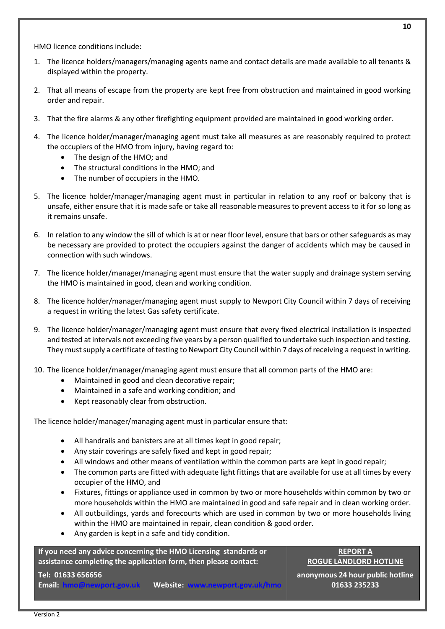HMO licence conditions include:

- 1. The licence holders/managers/managing agents name and contact details are made available to all tenants & displayed within the property.
- 2. That all means of escape from the property are kept free from obstruction and maintained in good working order and repair.
- 3. That the fire alarms & any other firefighting equipment provided are maintained in good working order.
- 4. The licence holder/manager/managing agent must take all measures as are reasonably required to protect the occupiers of the HMO from injury, having regard to:
	- The design of the HMO; and
	- The structural conditions in the HMO; and
	- The number of occupiers in the HMO.
- 5. The licence holder/manager/managing agent must in particular in relation to any roof or balcony that is unsafe, either ensure that it is made safe or take all reasonable measures to prevent access to it for so long as it remains unsafe.
- 6. In relation to any window the sill of which is at or near floor level, ensure that bars or other safeguards as may be necessary are provided to protect the occupiers against the danger of accidents which may be caused in connection with such windows.
- 7. The licence holder/manager/managing agent must ensure that the water supply and drainage system serving the HMO is maintained in good, clean and working condition.
- 8. The licence holder/manager/managing agent must supply to Newport City Council within 7 days of receiving a request in writing the latest Gas safety certificate.
- 9. The licence holder/manager/managing agent must ensure that every fixed electrical installation is inspected and tested at intervals not exceeding five years by a person qualified to undertake such inspection and testing. They must supply a certificate of testing to Newport City Council within 7 days of receiving a request in writing.
- 10. The licence holder/manager/managing agent must ensure that all common parts of the HMO are:
	- Maintained in good and clean decorative repair;
	- Maintained in a safe and working condition; and
	- Kept reasonably clear from obstruction.

The licence holder/manager/managing agent must in particular ensure that:

- All handrails and banisters are at all times kept in good repair;
- Any stair coverings are safely fixed and kept in good repair;
- All windows and other means of ventilation within the common parts are kept in good repair;
- The common parts are fitted with adequate light fittings that are available for use at all times by every occupier of the HMO, and
- Fixtures, fittings or appliance used in common by two or more households within common by two or more households within the HMO are maintained in good and safe repair and in clean working order.
- All outbuildings, yards and forecourts which are used in common by two or more households living within the HMO are maintained in repair, clean condition & good order.
- Any garden is kept in a safe and tidy condition.

**If you need any advice concerning the HMO Licensing standards or assistance completing the application form, then please contact:**

#### **REPORT A ROGUE LANDLORD HOTLINE**

**Tel: 01633 656656**

**Email: <b>[hmo@newport.gov.uk](mailto:hmo@newport.gov.uk)** Website: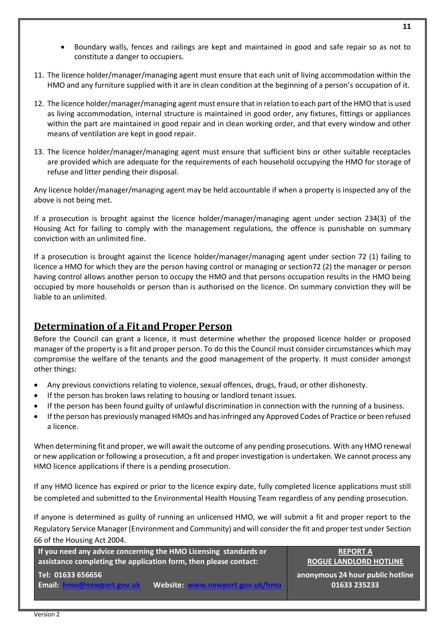- Boundary walls, fences and railings are kept and maintained in good and safe repair so as not to constitute a danger to occupiers.
- 11. The licence holder/manager/managing agent must ensure that each unit of living accommodation within the HMO and any furniture supplied with it are in clean condition at the beginning of a person's occupation of it.
- 12. The licence holder/manager/managing agent must ensure that in relation to each part of the HMO that is used as living accommodation, internal structure is maintained in good order, any fixtures, fittings or appliances within the part are maintained in good repair and in clean working order, and that every window and other means of ventilation are kept in good repair.
- 13. The licence holder/manager/managing agent must ensure that sufficient bins or other suitable receptacles are provided which are adequate for the requirements of each household occupying the HMO for storage of refuse and litter pending their disposal.

Any licence holder/manager/managing agent may be held accountable if when a property is inspected any of the above is not being met.

If a prosecution is brought against the licence holder/manager/managing agent under section 234(3) of the Housing Act for failing to comply with the management regulations, the offence is punishable on summary conviction with an unlimited fine.

If a prosecution is brought against the licence holder/manager/managing agent under section 72 (1) failing to licence a HMO for which they are the person having control or managing or section72 (2) the manager or person having control allows another person to occupy the HMO and that persons occupation results in the HMO being occupied by more households or person than is authorised on the licence. On summary conviction they will be liable to an unlimited.

## <span id="page-10-0"></span>**Determination of a Fit and Proper Person**

Before the Council can grant a licence, it must determine whether the proposed licence holder or proposed manager of the property is a fit and proper person. To do this the Council must consider circumstances which may compromise the welfare of the tenants and the good management of the property. It must consider amongst other things:

- Any previous convictions relating to violence, sexual offences, drugs, fraud, or other dishonesty.
- If the person has broken laws relating to housing or landlord tenant issues.
- If the person has been found guilty of unlawful discrimination in connection with the running of a business.
- If the person has previously managed HMOs and has infringed any Approved Codes of Practice or been refused a licence.

When determining fit and proper, we will await the outcome of any pending prosecutions. With any HMO renewal or new application or following a prosecution, a fit and proper investigation is undertaken. We cannot process any HMO licence applications if there is a pending prosecution.

If any HMO licence has expired or prior to the licence expiry date, fully completed licence applications must still be completed and submitted to the Environmental Health Housing Team regardless of any pending prosecution.

If anyone is determined as guilty of running an unlicensed HMO, we will submit a fit and proper report to the Regulatory Service Manager (Environment and Community) and will consider the fit and proper test under [Section](https://www.legislation.gov.uk/ukpga/2004/34/section/66)  [66 of the Housing Act 2004.](https://www.legislation.gov.uk/ukpga/2004/34/section/66)

**If you need any advice concerning the HMO Licensing standards or assistance completing the application form, then please contact:**

**REPORT A ROGUE LANDLORD HOTLINE**

**Tel: 01633 656656**

**Email: [hmo@newport.gov.uk](mailto:hmo@newport.gov.uk)** Website: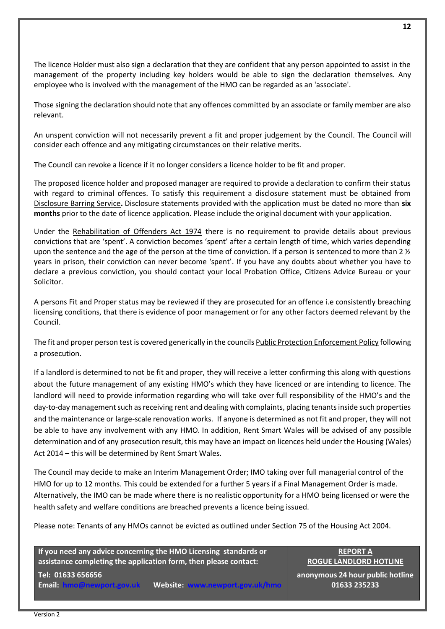The licence Holder must also sign a declaration that they are confident that any person appointed to assist in the management of the property including key holders would be able to sign the declaration themselves. Any employee who is involved with the management of the HMO can be regarded as an 'associate'.

Those signing the declaration should note that any offences committed by an associate or family member are also relevant.

An unspent conviction will not necessarily prevent a fit and proper judgement by the Council. The Council will consider each offence and any mitigating circumstances on their relative merits.

The Council can revoke a licence if it no longer considers a licence holder to be fit and proper.

The proposed licence holder and proposed manager are required to provide a declaration to confirm their status with regard to criminal offences. To satisfy this requirement a disclosure statement must be obtained from [Disclosure Barring Service](https://www.gov.uk/government/organisations/disclosure-and-barring-service)**.** Disclosure statements provided with the application must be dated no more than **six months** prior to the date of licence application. Please include the original document with your application.

Under the [Rehabilitation of Offenders Act 1974](https://www.legislation.gov.uk/ukpga/1974/53) there is no requirement to provide details about previous convictions that are 'spent'. A conviction becomes 'spent' after a certain length of time, which varies depending upon the sentence and the age of the person at the time of conviction. If a person is sentenced to more than 2  $\frac{1}{2}$ years in prison, their conviction can never become 'spent'. If you have any doubts about whether you have to declare a previous conviction, you should contact your local Probation Office, Citizens Advice Bureau or your Solicitor.

A persons Fit and Proper status may be reviewed if they are prosecuted for an offence i.e consistently breaching licensing conditions, that there is evidence of poor management or for any other factors deemed relevant by the Council.

The fit and proper person test is covered generically in the council[s Public Protection Enforcement Policy](https://eur03.safelinks.protection.outlook.com/?url=https%3A%2F%2Fwww.newport.gov.uk%2Fdocuments%2FPolicies%2FPublic-Protection-Enforcement-Policy-November-2013.pdf&data=04%7C01%7CJames.Andrews%40newport.gov.uk%7C0e794ef4469e4b970f8908d9fc7116b2%7C2c4d0079c52c4bb3b3cad8eaf1b6b7d5%7C0%7C0%7C637818384901622613%7CUnknown%7CTWFpbGZsb3d8eyJWIjoiMC4wLjAwMDAiLCJQIjoiV2luMzIiLCJBTiI6Ik1haWwiLCJXVCI6Mn0%3D%7C3000&sdata=wfAXUHcbN7jTzFOovwtpgXGrLZ0OpqMwpF3WYn3LiXI%3D&reserved=0) following a prosecution.

If a landlord is determined to not be fit and proper, they will receive a letter confirming this along with questions about the future management of any existing HMO's which they have licenced or are intending to licence. The landlord will need to provide information regarding who will take over full responsibility of the HMO's and the day-to-day management such as receiving rent and dealing with complaints, placing tenants inside such properties and the maintenance or large-scale renovation works. If anyone is determined as not fit and proper, they will not be able to have any involvement with any HMO. In addition, Rent Smart Wales will be advised of any possible determination and of any prosecution result, this may have an impact on licences held under the Housing (Wales) Act 2014 – this will be determined by Rent Smart Wales.

The Council may decide to make an Interim Management Order; IMO taking over full managerial control of the HMO for up to 12 months. This could be extended for a further 5 years if a Final Management Order is made. Alternatively, the IMO can be made where there is no realistic opportunity for a HMO being licensed or were the health safety and welfare conditions are breached prevents a licence being issued.

Please note: Tenants of any HMOs cannot be evicted as outlined under Section 75 of the Housing Act 2004.

**If you need any advice concerning the HMO Licensing standards or assistance completing the application form, then please contact: Tel: 01633 656656**

**Email: [hmo@newport.gov.uk](mailto:hmo@newport.gov.uk)** Website:

**REPORT A ROGUE LANDLORD HOTLINE**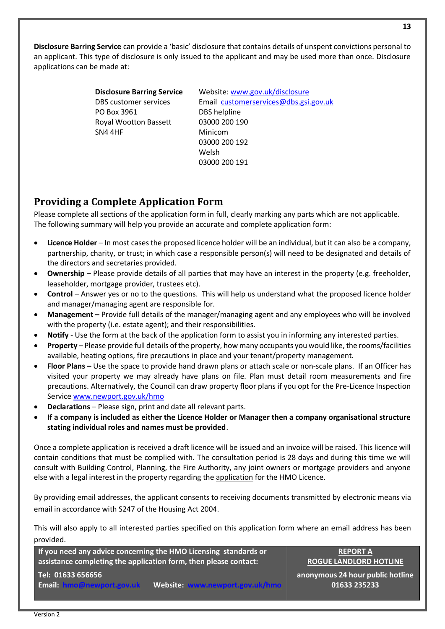**Disclosure Barring Service** can provide a 'basic' disclosure that contains details of unspent convictions personal to an applicant. This type of disclosure is only issued to the applicant and may be used more than once. Disclosure applications can be made at:

| <b>Disclosure Barring Service</b> | Website: www.gov.uk/disclosure        |
|-----------------------------------|---------------------------------------|
| <b>DBS</b> customer services      | Email customerservices@dbs.gsi.gov.uk |
| PO Box 3961                       | DBS helpline                          |
| <b>Royal Wootton Bassett</b>      | 03000 200 190                         |
| SN4 4HF                           | Minicom                               |
|                                   | 03000 200 192                         |
|                                   | Welsh                                 |
|                                   | 03000 200 191                         |

## <span id="page-12-0"></span>**Providing a Complete Application Form**

Please complete all sections of the application form in full, clearly marking any parts which are not applicable. The following summary will help you provide an accurate and complete application form:

- **Licence Holder** In most cases the proposed licence holder will be an individual, but it can also be a company, partnership, charity, or trust; in which case a responsible person(s) will need to be designated and details of the directors and secretaries provided.
- **Ownership** Please provide details of all parties that may have an interest in the property (e.g. freeholder, leaseholder, mortgage provider, trustees etc).
- **Control** Answer yes or no to the questions. This will help us understand what the proposed licence holder and manager/managing agent are responsible for.
- **Management –** Provide full details of the manager/managing agent and any employees who will be involved with the property (i.e. estate agent); and their responsibilities.
- **Notify** Use the form at the back of the application form to assist you in informing any interested parties.
- **Property**  Please provide full details of the property, how many occupants you would like, the rooms/facilities available, heating options, fire precautions in place and your tenant/property management.
- **Floor Plans –** Use the space to provide hand drawn plans or attach scale or non-scale plans. If an Officer has visited your property we may already have plans on file. Plan must detail room measurements and fire precautions. Alternatively, the Council can draw property floor plans if you opt for the Pre-Licence Inspection Service [www.newport.gov.uk/hmo](http://www.newport.gov.uk/hmo)
- **Declarations** Please sign, print and date all relevant parts.
- **If a company is included as either the Licence Holder or Manager then a company organisational structure stating individual roles and names must be provided**.

Once a complete application is received a draft licence will be issued and an invoice will be raised. This licence will contain conditions that must be complied with. The consultation period is 28 days and during this time we will consult with Building Control, Planning, the Fire Authority, any joint owners or mortgage providers and anyone else with a legal interest in the property regarding the [application](http://www.newport.gov.uk/documents/Housing-documents/HMO/HMO-application-form.pdf) for the HMO Licence.

By providing email addresses, the applicant consents to receiving documents transmitted by electronic means via email in accordance with S247 of the Housing Act 2004.

This will also apply to all interested parties specified on this application form where an email address has been provided.

**If you need any advice concerning the HMO Licensing standards or assistance completing the application form, then please contact: Tel: 01633 656656**

**Email: [hmo@newport.gov.uk](mailto:hmo@newport.gov.uk)** Website:

**REPORT A ROGUE LANDLORD HOTLINE**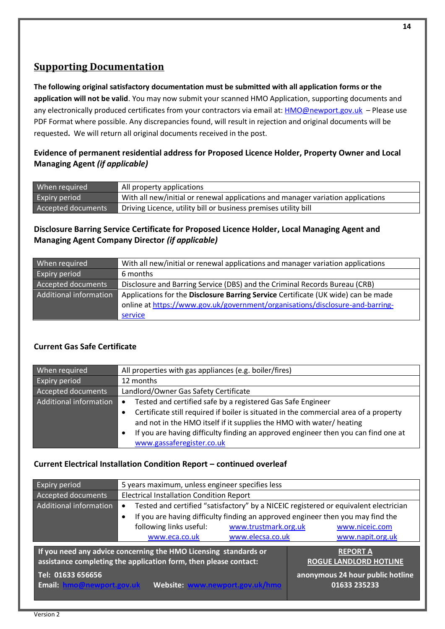## **Supporting Documentation**

**The following original satisfactory documentation must be submitted with all application forms or the application will not be valid**. You may now submit your scanned HMO Application, supporting documents and any electronically produced certificates from your contractors via email at: **HMO@newport.gov.uk** - Please use PDF Format where possible. Any discrepancies found, will result in rejection and original documents will be requested**.** We will return all original documents received in the post.

#### **Evidence of permanent residential address for Proposed Licence Holder, Property Owner and Local Managing Agent** *(if applicable)*

| When required      | All property applications                                                       |
|--------------------|---------------------------------------------------------------------------------|
| Expiry period      | With all new/initial or renewal applications and manager variation applications |
| Accepted documents | Driving Licence, utility bill or business premises utility bill                 |

## **Disclosure Barring Service Certificate for Proposed Licence Holder, Local Managing Agent and Managing Agent Company Director** *(if applicable)*

| When required          | With all new/initial or renewal applications and manager variation applications   |
|------------------------|-----------------------------------------------------------------------------------|
| <b>Expiry period</b>   | 6 months                                                                          |
| Accepted documents     | Disclosure and Barring Service (DBS) and the Criminal Records Bureau (CRB)        |
| Additional information | Applications for the Disclosure Barring Service Certificate (UK wide) can be made |
|                        | online at https://www.gov.uk/government/organisations/disclosure-and-barring-     |
|                        | service                                                                           |

#### **Current Gas Safe Certificate**

| When required          | All properties with gas appliances (e.g. boiler/fires)                                             |  |
|------------------------|----------------------------------------------------------------------------------------------------|--|
| <b>Expiry period</b>   | 12 months                                                                                          |  |
| Accepted documents     | Landlord/Owner Gas Safety Certificate                                                              |  |
| Additional information | Tested and certified safe by a registered Gas Safe Engineer<br>$\bullet$                           |  |
|                        | Certificate still required if boiler is situated in the commercial area of a property<br>$\bullet$ |  |
|                        | and not in the HMO itself if it supplies the HMO with water/ heating                               |  |
|                        | If you are having difficulty finding an approved engineer then you can find one at<br>٠            |  |
|                        | www.gassaferegister.co.uk                                                                          |  |

#### **Current Electrical Installation Condition Report – continued overleaf**

| <b>Expiry period</b>                                                                                                                                    | 5 years maximum, unless engineer specifies less                                                   |                                                 |                                                  |  |
|---------------------------------------------------------------------------------------------------------------------------------------------------------|---------------------------------------------------------------------------------------------------|-------------------------------------------------|--------------------------------------------------|--|
| Accepted documents                                                                                                                                      |                                                                                                   | <b>Electrical Installation Condition Report</b> |                                                  |  |
| Additional information                                                                                                                                  | Tested and certified "satisfactory" by a NICEIC registered or equivalent electrician<br>$\bullet$ |                                                 |                                                  |  |
|                                                                                                                                                         | If you are having difficulty finding an approved engineer then you may find the<br>$\bullet$      |                                                 |                                                  |  |
|                                                                                                                                                         | following links useful:                                                                           | www.trustmark.org.uk                            | www.niceic.com                                   |  |
|                                                                                                                                                         | www.eca.co.uk                                                                                     | www.elecsa.co.uk                                | www.napit.org.uk                                 |  |
| If you need any advice concerning the HMO Licensing standards or<br><b>REPORT A</b><br>assistance completing the application form, then please contact: |                                                                                                   | <b>ROGUE LANDLORD HOTLINE</b>                   |                                                  |  |
| Tel: 01633 656656<br>Email: hmo@newport.gov.uk                                                                                                          | Website: www.newport.gov.uk/hmo                                                                   |                                                 | anonymous 24 hour public hotline<br>01633 235233 |  |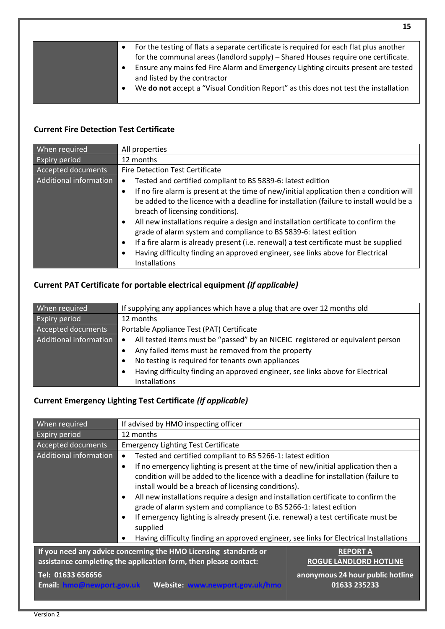|           | For the testing of flats a separate certificate is required for each flat plus another |
|-----------|----------------------------------------------------------------------------------------|
|           | for the communal areas (landlord supply) – Shared Houses require one certificate.      |
|           | Ensure any mains fed Fire Alarm and Emergency Lighting circuits present are tested     |
|           | and listed by the contractor                                                           |
| $\bullet$ | We do not accept a "Visual Condition Report" as this does not test the installation    |
|           |                                                                                        |

## **Current Fire Detection Test Certificate**

| When required          | All properties                                                                                        |
|------------------------|-------------------------------------------------------------------------------------------------------|
| <b>Expiry period</b>   | 12 months                                                                                             |
| Accepted documents     | <b>Fire Detection Test Certificate</b>                                                                |
| Additional information | Tested and certified compliant to BS 5839-6: latest edition<br>$\bullet$                              |
|                        | If no fire alarm is present at the time of new/initial application then a condition will<br>$\bullet$ |
|                        | be added to the licence with a deadline for installation (failure to install would be a               |
|                        | breach of licensing conditions).                                                                      |
|                        | All new installations require a design and installation certificate to confirm the<br>$\bullet$       |
|                        | grade of alarm system and compliance to BS 5839-6: latest edition                                     |
|                        | If a fire alarm is already present (i.e. renewal) a test certificate must be supplied<br>$\bullet$    |
|                        | Having difficulty finding an approved engineer, see links above for Electrical<br>$\bullet$           |
|                        | Installations                                                                                         |

## **Current PAT Certificate for portable electrical equipment** *(if applicable)*

| When required          | If supplying any appliances which have a plug that are over 12 months old                   |  |
|------------------------|---------------------------------------------------------------------------------------------|--|
| <b>Expiry period</b>   | 12 months                                                                                   |  |
| Accepted documents     | Portable Appliance Test (PAT) Certificate                                                   |  |
| Additional information | All tested items must be "passed" by an NICEIC registered or equivalent person<br>$\bullet$ |  |
|                        | Any failed items must be removed from the property<br>$\bullet$                             |  |
|                        | No testing is required for tenants own appliances<br>$\bullet$                              |  |
|                        | Having difficulty finding an approved engineer, see links above for Electrical<br>٠         |  |
|                        | Installations                                                                               |  |

## **Current Emergency Lighting Test Certificate** *(if applicable)*

| When required                                                                                                                                           | If advised by HMO inspecting officer                                                                                                                                 |                                                  |
|---------------------------------------------------------------------------------------------------------------------------------------------------------|----------------------------------------------------------------------------------------------------------------------------------------------------------------------|--------------------------------------------------|
| <b>Expiry period</b>                                                                                                                                    | 12 months                                                                                                                                                            |                                                  |
| Accepted documents                                                                                                                                      | <b>Emergency Lighting Test Certificate</b>                                                                                                                           |                                                  |
| Additional information                                                                                                                                  | Tested and certified compliant to BS 5266-1: latest edition<br>$\bullet$                                                                                             |                                                  |
|                                                                                                                                                         | If no emergency lighting is present at the time of new/initial application then a<br>$\bullet$                                                                       |                                                  |
|                                                                                                                                                         | condition will be added to the licence with a deadline for installation (failure to<br>install would be a breach of licensing conditions).                           |                                                  |
|                                                                                                                                                         | All new installations require a design and installation certificate to confirm the<br>$\bullet$<br>grade of alarm system and compliance to BS 5266-1: latest edition |                                                  |
|                                                                                                                                                         | If emergency lighting is already present (i.e. renewal) a test certificate must be<br>$\bullet$<br>supplied                                                          |                                                  |
|                                                                                                                                                         | Having difficulty finding an approved engineer, see links for Electrical Installations<br>$\bullet$                                                                  |                                                  |
| If you need any advice concerning the HMO Licensing standards or<br><b>REPORT A</b><br>assistance completing the application form, then please contact: |                                                                                                                                                                      | <b>ROGUE LANDLORD HOTLINE</b>                    |
| Tel: 01633 656656                                                                                                                                       |                                                                                                                                                                      | anonymous 24 hour public hotline<br>01633 235233 |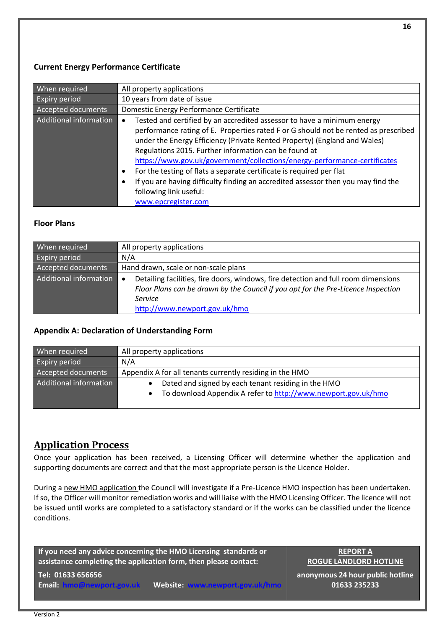#### **Current Energy Performance Certificate**

| When required          | All property applications                                                                      |
|------------------------|------------------------------------------------------------------------------------------------|
| <b>Expiry period</b>   | 10 years from date of issue                                                                    |
| Accepted documents     | Domestic Energy Performance Certificate                                                        |
| Additional information | Tested and certified by an accredited assessor to have a minimum energy<br>$\bullet$           |
|                        | performance rating of E. Properties rated F or G should not be rented as prescribed            |
|                        | under the Energy Efficiency (Private Rented Property) (England and Wales)                      |
|                        | Regulations 2015. Further information can be found at                                          |
|                        | https://www.gov.uk/government/collections/energy-performance-certificates                      |
|                        | For the testing of flats a separate certificate is required per flat<br>$\bullet$              |
|                        | If you are having difficulty finding an accredited assessor then you may find the<br>$\bullet$ |
|                        | following link useful:                                                                         |
|                        | www.epcregister.com                                                                            |

#### **Floor Plans**

| When required          | All property applications                                                                                                                                                                                                        |  |
|------------------------|----------------------------------------------------------------------------------------------------------------------------------------------------------------------------------------------------------------------------------|--|
| <b>Expiry period</b>   | N/A                                                                                                                                                                                                                              |  |
| Accepted documents     | Hand drawn, scale or non-scale plans                                                                                                                                                                                             |  |
| Additional information | Detailing facilities, fire doors, windows, fire detection and full room dimensions<br>$\bullet$<br>Floor Plans can be drawn by the Council if you opt for the Pre-Licence Inspection<br>Service<br>http://www.newport.gov.uk/hmo |  |

#### **Appendix A: Declaration of Understanding Form**

| When required          | All property applications                                     |
|------------------------|---------------------------------------------------------------|
| <b>Expiry period</b>   | N/A                                                           |
| Accepted documents     | Appendix A for all tenants currently residing in the HMO      |
| Additional information | Dated and signed by each tenant residing in the HMO           |
|                        | To download Appendix A refer to http://www.newport.gov.uk/hmo |
|                        |                                                               |

## <span id="page-15-0"></span>**Application Process**

Once your application has been received, a Licensing Officer will determine whether the application and supporting documents are correct and that the most appropriate person is the Licence Holder.

During a new HMO application the Council will investigate if a Pre-Licence HMO inspection has been undertaken. If so, the Officer will monitor remediation works and will liaise with the HMO Licensing Officer. The licence will not be issued until works are completed to a satisfactory standard or if the works can be classified under the licence conditions.

**If you need any advice concerning the HMO Licensing standards or assistance completing the application form, then please contact:**

**Tel: 01633 656656**

**Email: [hmo@newport.gov.uk](mailto:hmo@newport.gov.uk)** Website:

**REPORT A ROGUE LANDLORD HOTLINE**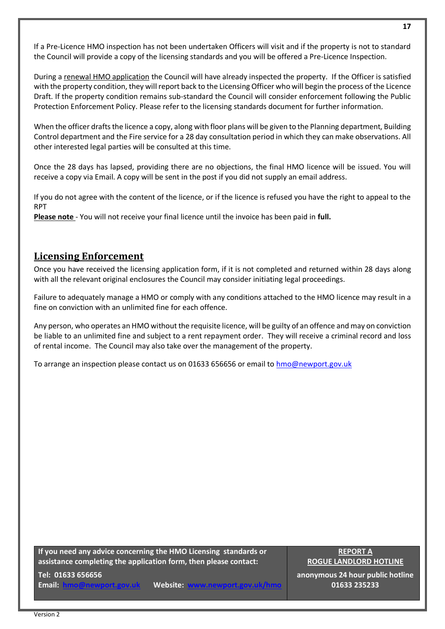If a Pre-Licence HMO inspection has not been undertaken Officers will visit and if the property is not to standard the Council will provide a copy of the licensing standards and you will be offered a Pre-Licence Inspection.

During a renewal HMO application the Council will have already inspected the property. If the Officer is satisfied with the property condition, they will report back to the Licensing Officer who will begin the process of the Licence Draft. If the property condition remains sub-standard the Council will consider enforcement following the Public Protection Enforcement Policy. Please refer to the licensing standards document for further information.

When the officer drafts the licence a copy, along with floor plans will be given to the Planning department, Building Control department and the Fire service for a 28 day consultation period in which they can make observations. All other interested legal parties will be consulted at this time.

Once the 28 days has lapsed, providing there are no objections, the final HMO licence will be issued. You will receive a copy via Email. A copy will be sent in the post if you did not supply an email address.

If you do not agree with the content of the licence, or if the licence is refused you have the right to appeal to the RPT

**Please note** - You will not receive your final licence until the invoice has been paid in **full.** 

## <span id="page-16-0"></span>**Licensing Enforcement**

Once you have received the licensing application form, if it is not completed and returned within 28 days along with all the relevant original enclosures the Council may consider initiating legal proceedings.

Failure to adequately manage a HMO or comply with any conditions attached to the HMO licence may result in a fine on conviction with an unlimited fine for each offence.

Any person, who operates an HMO without the requisite licence, will be guilty of an offence and may on conviction be liable to an unlimited fine and subject to a rent repayment order. They will receive a criminal record and loss of rental income. The Council may also take over the management of the property.

To arrange an inspection please contact us on 01633 656656 or email to [hmo@newport.gov.uk](mailto:hmo@newport.gov.uk)

**If you need any advice concerning the HMO Licensing standards or assistance completing the application form, then please contact:**

**Tel: 01633 656656**

**Email: [hmo@newport.gov.uk](mailto:hmo@newport.gov.uk)** Website:

**REPORT A ROGUE LANDLORD HOTLINE**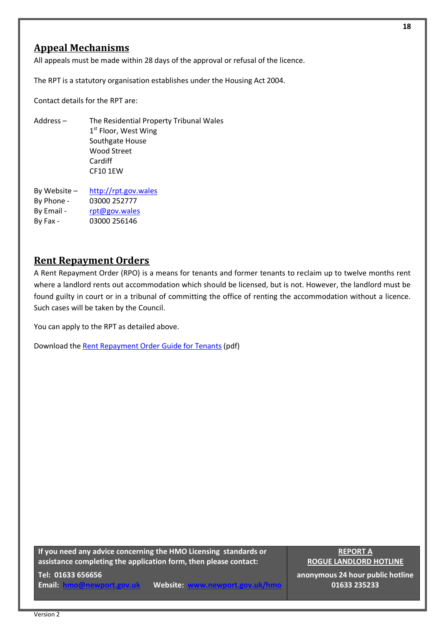## <span id="page-17-0"></span>**Appeal Mechanisms**

All appeals must be made within 28 days of the approval or refusal of the licence.

The RPT is a statutory organisation establishes under the Housing Act 2004.

Contact details for the RPT are:

- Address The Residential Property Tribunal Wales 1st Floor, West Wing Southgate House Wood Street Cardiff CF10 1EW
- By Website [http://rpt.gov.wales](http://rpt.gov.wales/) By Phone - 03000 252777 By Email - [rpt@gov.wales](mailto:rpt@gov.wales) By Fax - 03000 256146

## <span id="page-17-1"></span>**Rent Repayment Orders**

A Rent Repayment Order (RPO) is a means for tenants and former tenants to reclaim up to twelve months rent where a landlord rents out accommodation which should be licensed, but is not. However, the landlord must be found guilty in court or in a tribunal of committing the office of renting the accommodation without a licence. Such cases will be taken by the Council.

You can apply to the RPT as detailed above.

Download the [Rent Repayment Order Guide for Tenants](http://www.newport.gov.uk/documents/Housing-documents/HMO/Rent-Repayment-Orders-Guide-for-tenants-October-2018.pdf) (pdf)

**If you need any advice concerning the HMO Licensing standards or assistance completing the application form, then please contact:**

**Tel: 01633 656656**

**Email: [hmo@newport.gov.uk](mailto:hmo@newport.gov.uk)** Website:

**REPORT A ROGUE LANDLORD HOTLINE**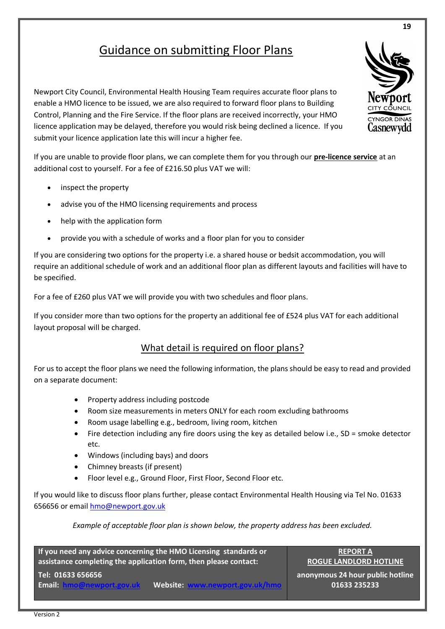## Guidance on submitting Floor Plans

Newport City Council, Environmental Health Housing Team requires accurate floor plans to enable a HMO licence to be issued, we are also required to forward floor plans to Building Control, Planning and the Fire Service. If the floor plans are received incorrectly, your HMO licence application may be delayed, therefore you would risk being declined a licence. If you submit your licence application late this will incur a higher fee.

If you are unable to provide floor plans, we can complete them for you through our **pre-licence service** at an additional cost to yourself. For a fee of £216.50 plus VAT we will:

- inspect the property
- advise you of the HMO licensing requirements and process
- help with the application form
- provide you with a schedule of works and a floor plan for you to consider

If you are considering two options for the property i.e. a shared house or bedsit accommodation, you will require an additional schedule of work and an additional floor plan as different layouts and facilities will have to be specified.

For a fee of £260 plus VAT we will provide you with two schedules and floor plans.

If you consider more than two options for the property an additional fee of £524 plus VAT for each additional layout proposal will be charged.

## What detail is required on floor plans?

For us to accept the floor plans we need the following information, the plans should be easy to read and provided on a separate document:

- Property address including postcode
- Room size measurements in meters ONLY for each room excluding bathrooms
- Room usage labelling e.g., bedroom, living room, kitchen
- Fire detection including any fire doors using the key as detailed below i.e., SD = smoke detector etc.
- Windows (including bays) and doors
- Chimney breasts (if present)
- Floor level e.g., Ground Floor, First Floor, Second Floor etc.

If you would like to discuss floor plans further, please contact Environmental Health Housing via Tel No. 01633 656656 or email [hmo@newport.gov.uk](mailto:hmo@newport.gov.uk)

*Example of acceptable floor plan is shown below, the property address has been excluded.* 

**If you need any advice concerning the HMO Licensing standards or assistance completing the application form, then please contact: Tel: 01633 656656**

**Email: [hmo@newport.gov.uk](mailto:hmo@newport.gov.uk)** Website:

**REPORT A ROGUE LANDLORD HOTLINE**